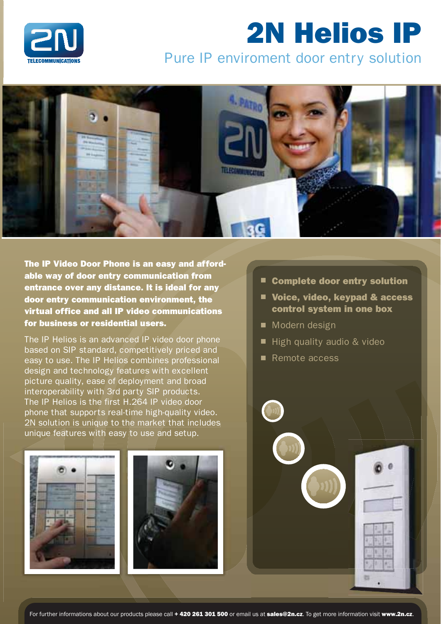

# 2N Helios IP

## Pure IP enviroment door entry solution



The IP Video Door Phone is an easy and affordable way of door entry communication from entrance over any distance. It is ideal for any door entry communication environment, the virtual office and all IP video communications for business or residential users.

The IP Helios is an advanced IP video door phone based on SIP standard, competitively priced and easy to use. The IP Helios combines professional design and technology features with excellent picture quality, ease of deployment and broad interoperability with 3rd party SIP products. The IP Helios is the first H.264 IP video door phone that supports real-time high-quality video. 2N solution is unique to the market that includes 2N solution is unique to the market that inc<br>unique features with easy to use and setup.

- $\blacksquare$  Complete door entry solution
- Voice, video, keypad & access control system in one box
- **Nodern design**
- $\blacksquare$  High quality audio & video
- Remote access

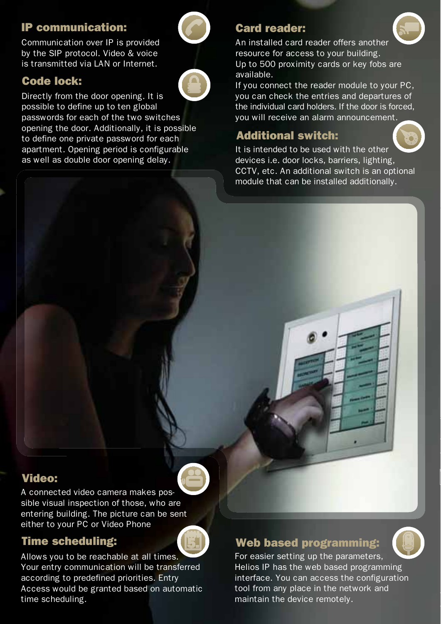### **IP communication:**

Communication over IP is provided by the SIP protocol. Video & voice is transmitted via LAN or Internet.

### **Code lock:**

Directly from the door opening. It is possible to define up to ten global passwords for each of the two switches opening the door. Additionally, it is possible to define one private password for each apartment. Opening period is configurable as well as double door opening delay.

### **Card reader:**



An installed card reader offers another resource for access to your building. Up to 500 proximity cards or key fobs are available.

If you connect the reader module to your PC, you can check the entries and departures of the individual card holders. If the door is forced, you will receive an alarm announcement.

### **Additional switch:**



It is intended to be used with the other devices i.e. door locks, barriers, lighting, CCTV, etc. An additional switch is an optional module that can be installed additionally.

### **Video:**

A connected video camera makes possible visual inspection of those, who are entering building. The picture can be sent either to your PC or Video Phone

### **Time scheduling:**

Allows you to be reachable at all times. Your entry communication will be transferred according to predefined priorities. Entry Access would be granted based on automatic time scheduling.

### **Web based programming:**



For easier setting up the parameters, Helios IP has the web based programming interface. You can access the configuration tool from any place in the network and maintain the device remotely.

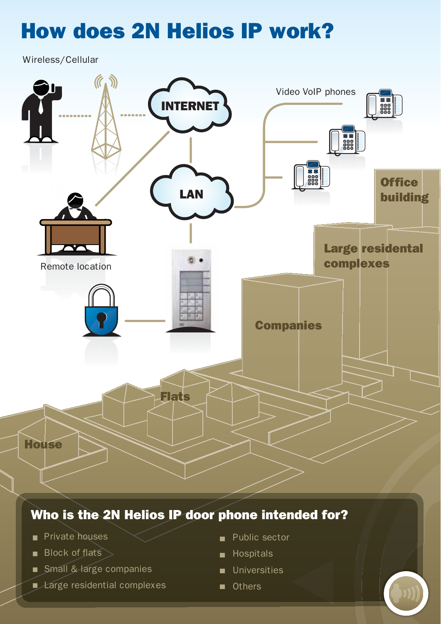# **How does 2N Helios IP work?**

Wireless/Cellular



### Who is the 2N Helios IP door phone intended for?

- Private houses
- **Block of flats** >
- Small & large companies
- Large residential complexes
- Public sector
- **B** Hospitals
- **Universities**
- Others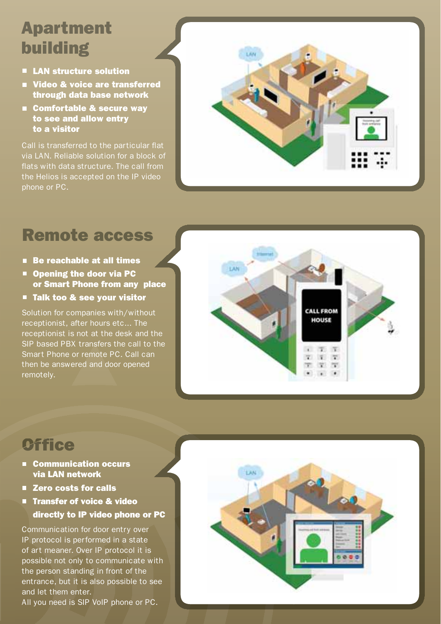# **Apartment** building

- **E** LAN structure solution
- **University of Service are transferred** through data base network
- Comfortable & secure way to see and allow entry to a visitor

Call is transferred to the particular flat via LAN. Reliable solution for a block of flats with data structure. The call from the Helios is accepted on the IP video phone or PC.



# Remote access

- Be reachable at all times
- Opening the door via PC or Smart Phone from any place
- Talk too & see your visitor

Solution for companies with/without receptionist, after hours etc... The receptionist is not at the desk and the SIP based PBX transfers the call to the Smart Phone or remote PC. Call can then be answered and door opened remotely.



## **Office**

- Communication occurs via LAN network
- Zero costs for calls
- **Transfer of voice & video** directly to IP video phone or PC

Communication for door entry over IP protocol is performed in a state of art meaner. Over IP protocol it is possible not only to communicate with the person standing in front of the entrance, but it is also possible to see and let them enter. All you need is SIP/VoIP phone or PC.

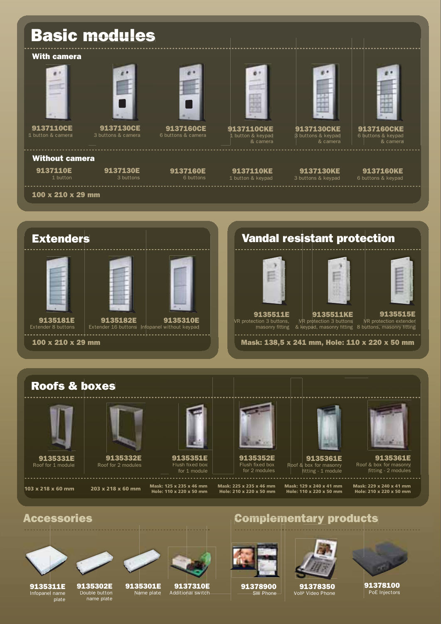